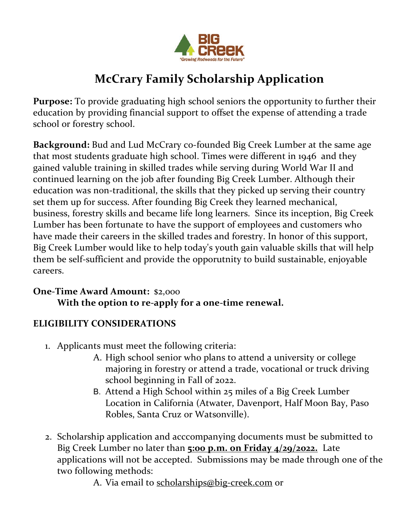

# **McCrary Family Scholarship Application**

**Purpose:** To provide graduating high school seniors the opportunity to further their education by providing financial support to offset the expense of attending a trade school or forestry school.

**Background:** Bud and Lud McCrary co-founded Big Creek Lumber at the same age that most students graduate high school. Times were different in 1946 and they gained valuble training in skilled trades while serving during World War II and continued learning on the job after founding Big Creek Lumber. Although their education was non-traditional, the skills that they picked up serving their country set them up for success. After founding Big Creek they learned mechanical, business, forestry skills and became life long learners. Since its inception, Big Creek Lumber has been fortunate to have the support of employees and customers who have made their careers in the skilled trades and forestry. In honor of this support, Big Creek Lumber would like to help today's youth gain valuable skills that will help them be self-sufficient and provide the opporutnity to build sustainable, enjoyable careers.

#### **One-Time Award Amount:** \$2,000 **With the option to re-apply for a one-time renewal.**

#### **ELIGIBILITY CONSIDERATIONS**

- 1. Applicants must meet the following criteria:
	- A. High school senior who plans to attend a university or college majoring in forestry or attend a trade, vocational or truck driving school beginning in Fall of 2022.
	- B. Attend a High School within 25 miles of a Big Creek Lumber Location in California (Atwater, Davenport, Half Moon Bay, Paso Robles, Santa Cruz or Watsonville).
- 2. Scholarship application and acccompanying documents must be submitted to Big Creek Lumber no later than **5:00 p.m. on Friday 4/29/2022.** Late applications will not be accepted. Submissions may be made through one of the two following methods:

A. Via email to scholarships@big-creek.com or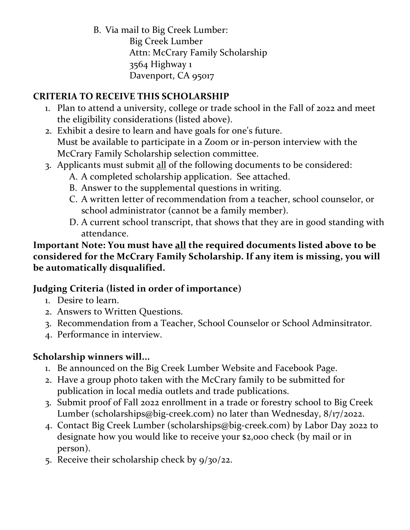B. Via mail to Big Creek Lumber: Big Creek Lumber Attn: McCrary Family Scholarship 3564 Highway 1 Davenport, CA 95017

# **CRITERIA TO RECEIVE THIS SCHOLARSHIP**

- 1. Plan to attend a university, college or trade school in the Fall of 2022 and meet the eligibility considerations (listed above).
- 2. Exhibit a desire to learn and have goals for one's future. Must be available to participate in a Zoom or in-person interview with the McCrary Family Scholarship selection committee.
- 3. Applicants must submit all of the following documents to be considered:
	- A. A completed scholarship application. See attached.
	- B. Answer to the supplemental questions in writing.
	- C. A written letter of recommendation from a teacher, school counselor, or school administrator (cannot be a family member).
	- D. A current school transcript, that shows that they are in good standing with attendance.

#### **Important Note: You must have all the required documents listed above to be considered for the McCrary Family Scholarship. If any item is missing, you will be automatically disqualified.**

#### **Judging Criteria (listed in order of importance)**

- 1. Desire to learn.
- 2. Answers to Written Questions.
- 3. Recommendation from a Teacher, School Counselor or School Adminsitrator.
- 4. Performance in interview.

# **Scholarship winners will...**

- 1. Be announced on the Big Creek Lumber Website and Facebook Page.
- 2. Have a group photo taken with the McCrary family to be submitted for publication in local media outlets and trade publications.
- 3. Submit proof of Fall 2022 enrollment in a trade or forestry school to Big Creek Lumber (scholarships@big-creek.com) no later than Wednesday, 8/17/2022.
- 4. Contact Big Creek Lumber (scholarships@big-creek.com) by Labor Day 2022 to designate how you would like to receive your \$2,000 check (by mail or in person).
- 5. Receive their scholarship check by 9/30/22.